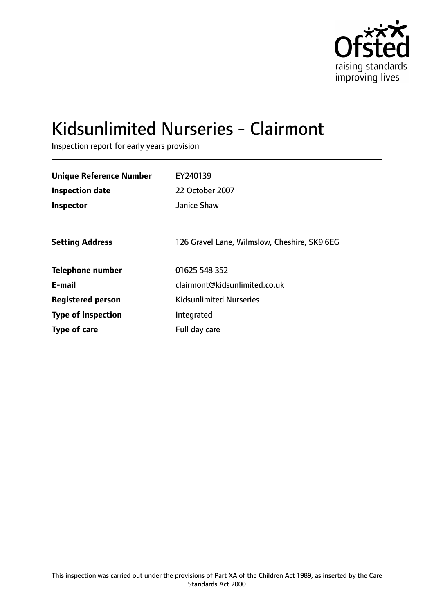

# Kidsunlimited Nurseries - Clairmont

Inspection report for early years provision

| <b>Unique Reference Number</b><br><b>Inspection date</b> | EY240139<br>22 October 2007                  |
|----------------------------------------------------------|----------------------------------------------|
| <b>Inspector</b>                                         | Janice Shaw                                  |
| <b>Setting Address</b>                                   | 126 Gravel Lane, Wilmslow, Cheshire, SK9 6EG |
| <b>Telephone number</b>                                  | 01625 548 352                                |
| E-mail                                                   | clairmont@kidsunlimited.co.uk                |
| <b>Registered person</b>                                 | <b>Kidsunlimited Nurseries</b>               |
| <b>Type of inspection</b>                                | Integrated                                   |
| <b>Type of care</b>                                      | Full day care                                |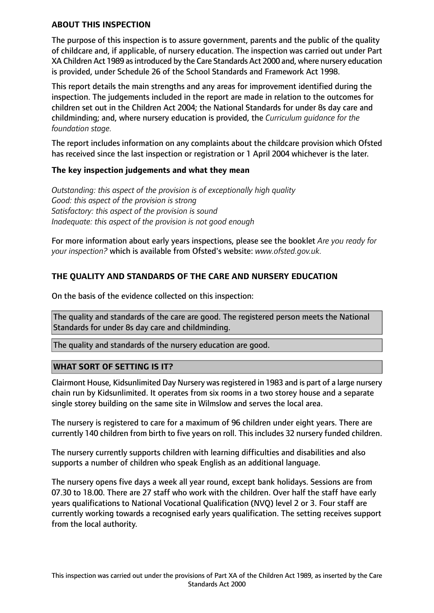#### **ABOUT THIS INSPECTION**

The purpose of this inspection is to assure government, parents and the public of the quality of childcare and, if applicable, of nursery education. The inspection was carried out under Part XA Children Act 1989 as introduced by the Care Standards Act 2000 and, where nursery education is provided, under Schedule 26 of the School Standards and Framework Act 1998.

This report details the main strengths and any areas for improvement identified during the inspection. The judgements included in the report are made in relation to the outcomes for children set out in the Children Act 2004; the National Standards for under 8s day care and childminding; and, where nursery education is provided, the *Curriculum guidance for the foundation stage.*

The report includes information on any complaints about the childcare provision which Ofsted has received since the last inspection or registration or 1 April 2004 whichever is the later.

#### **The key inspection judgements and what they mean**

*Outstanding: this aspect of the provision is of exceptionally high quality Good: this aspect of the provision is strong Satisfactory: this aspect of the provision is sound Inadequate: this aspect of the provision is not good enough*

For more information about early years inspections, please see the booklet *Are you ready for your inspection?* which is available from Ofsted's website: *www.ofsted.gov.uk.*

### **THE QUALITY AND STANDARDS OF THE CARE AND NURSERY EDUCATION**

On the basis of the evidence collected on this inspection:

The quality and standards of the care are good. The registered person meets the National Standards for under 8s day care and childminding.

The quality and standards of the nursery education are good.

#### **WHAT SORT OF SETTING IS IT?**

Clairmont House, Kidsunlimited Day Nursery was registered in 1983 and is part of a large nursery chain run by Kidsunlimited. It operates from six rooms in a two storey house and a separate single storey building on the same site in Wilmslow and serves the local area.

The nursery is registered to care for a maximum of 96 children under eight years. There are currently 140 children from birth to five years on roll. This includes 32 nursery funded children.

The nursery currently supports children with learning difficulties and disabilities and also supports a number of children who speak English as an additional language.

The nursery opens five days a week all year round, except bank holidays. Sessions are from 07.30 to 18.00. There are 27 staff who work with the children. Over half the staff have early years qualifications to National Vocational Qualification (NVQ) level 2 or 3. Four staff are currently working towards a recognised early years qualification. The setting receives support from the local authority.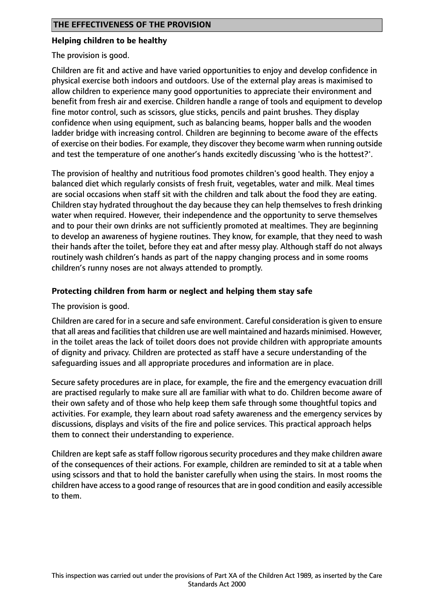#### **Helping children to be healthy**

The provision is good.

Children are fit and active and have varied opportunities to enjoy and develop confidence in physical exercise both indoors and outdoors. Use of the external play areas is maximised to allow children to experience many good opportunities to appreciate their environment and benefit from fresh air and exercise. Children handle a range of tools and equipment to develop fine motor control, such as scissors, glue sticks, pencils and paint brushes. They display confidence when using equipment, such as balancing beams, hopper balls and the wooden ladder bridge with increasing control. Children are beginning to become aware of the effects of exercise on their bodies. For example, they discover they become warm when running outside and test the temperature of one another's hands excitedly discussing 'who is the hottest?'.

The provision of healthy and nutritious food promotes children's good health. They enjoy a balanced diet which regularly consists of fresh fruit, vegetables, water and milk. Meal times are social occasions when staff sit with the children and talk about the food they are eating. Children stay hydrated throughout the day because they can help themselves to fresh drinking water when required. However, their independence and the opportunity to serve themselves and to pour their own drinks are not sufficiently promoted at mealtimes. They are beginning to develop an awareness of hygiene routines. They know, for example, that they need to wash their hands after the toilet, before they eat and after messy play. Although staff do not always routinely wash children's hands as part of the nappy changing process and in some rooms children's runny noses are not always attended to promptly.

#### **Protecting children from harm or neglect and helping them stay safe**

The provision is good.

Children are cared for in a secure and safe environment. Careful consideration is given to ensure that all areas and facilities that children use are well maintained and hazards minimised. However, in the toilet areas the lack of toilet doors does not provide children with appropriate amounts of dignity and privacy. Children are protected as staff have a secure understanding of the safeguarding issues and all appropriate procedures and information are in place.

Secure safety procedures are in place, for example, the fire and the emergency evacuation drill are practised regularly to make sure all are familiar with what to do. Children become aware of their own safety and of those who help keep them safe through some thoughtful topics and activities. For example, they learn about road safety awareness and the emergency services by discussions, displays and visits of the fire and police services. This practical approach helps them to connect their understanding to experience.

Children are kept safe as staff follow rigorous security procedures and they make children aware of the consequences of their actions. For example, children are reminded to sit at a table when using scissors and that to hold the banister carefully when using the stairs. In most rooms the children have access to a good range of resources that are in good condition and easily accessible to them.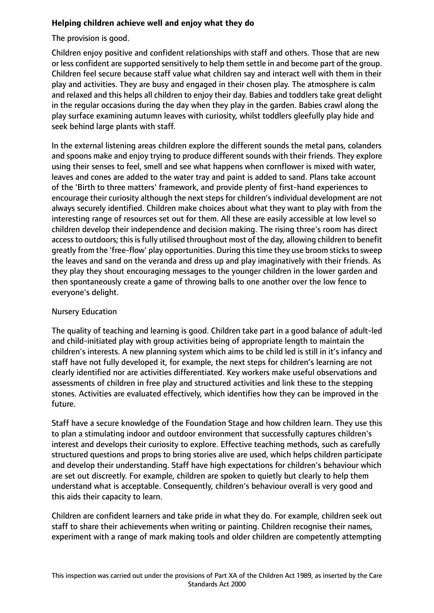# **Helping children achieve well and enjoy what they do**

The provision is good.

Children enjoy positive and confident relationships with staff and others. Those that are new or less confident are supported sensitively to help them settle in and become part of the group. Children feel secure because staff value what children say and interact well with them in their play and activities. They are busy and engaged in their chosen play. The atmosphere is calm and relaxed and this helps all children to enjoy their day. Babies and toddlers take great delight in the regular occasions during the day when they play in the garden. Babies crawl along the play surface examining autumn leaves with curiosity, whilst toddlers gleefully play hide and seek behind large plants with staff.

In the external listening areas children explore the different sounds the metal pans, colanders and spoons make and enjoy trying to produce different sounds with their friends. They explore using their senses to feel, smell and see what happens when cornflower is mixed with water, leaves and cones are added to the water tray and paint is added to sand. Plans take account of the 'Birth to three matters' framework, and provide plenty of first-hand experiences to encourage their curiosity although the next steps for children's individual development are not always securely identified. Children make choices about what they want to play with from the interesting range of resources set out for them. All these are easily accessible at low level so children develop their independence and decision making. The rising three's room has direct access to outdoors; this is fully utilised throughout most of the day, allowing children to benefit greatly from the 'free-flow' play opportunities. During this time they use broom sticks to sweep the leaves and sand on the veranda and dress up and play imaginatively with their friends. As they play they shout encouraging messages to the younger children in the lower garden and then spontaneously create a game of throwing balls to one another over the low fence to everyone's delight.

# Nursery Education

The quality of teaching and learning is good. Children take part in a good balance of adult-led and child-initiated play with group activities being of appropriate length to maintain the children's interests. A new planning system which aims to be child led is still in it's infancy and staff have not fully developed it, for example, the next steps for children's learning are not clearly identified nor are activities differentiated. Key workers make useful observations and assessments of children in free play and structured activities and link these to the stepping stones. Activities are evaluated effectively, which identifies how they can be improved in the future.

Staff have a secure knowledge of the Foundation Stage and how children learn. They use this to plan a stimulating indoor and outdoor environment that successfully captures children's interest and develops their curiosity to explore. Effective teaching methods, such as carefully structured questions and props to bring stories alive are used, which helps children participate and develop their understanding. Staff have high expectations for children's behaviour which are set out discreetly. For example, children are spoken to quietly but clearly to help them understand what is acceptable. Consequently, children's behaviour overall is very good and this aids their capacity to learn.

Children are confident learners and take pride in what they do. For example, children seek out staff to share their achievements when writing or painting. Children recognise their names, experiment with a range of mark making tools and older children are competently attempting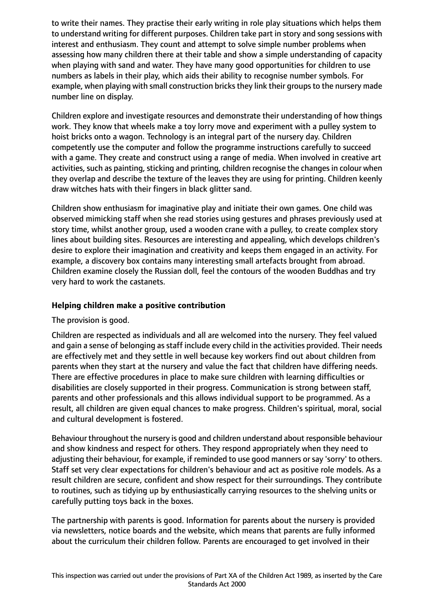to write their names. They practise their early writing in role play situations which helps them to understand writing for different purposes. Children take part in story and song sessions with interest and enthusiasm. They count and attempt to solve simple number problems when assessing how many children there at their table and show a simple understanding of capacity when playing with sand and water. They have many good opportunities for children to use numbers as labels in their play, which aids their ability to recognise number symbols. For example, when playing with small construction bricks they link their groups to the nursery made number line on display.

Children explore and investigate resources and demonstrate their understanding of how things work. They know that wheels make a toy lorry move and experiment with a pulley system to hoist bricks onto a wagon. Technology is an integral part of the nursery day. Children competently use the computer and follow the programme instructions carefully to succeed with a game. They create and construct using a range of media. When involved in creative art activities, such as painting, sticking and printing, children recognise the changes in colour when they overlap and describe the texture of the leaves they are using for printing. Children keenly draw witches hats with their fingers in black glitter sand.

Children show enthusiasm for imaginative play and initiate their own games. One child was observed mimicking staff when she read stories using gestures and phrases previously used at story time, whilst another group, used a wooden crane with a pulley, to create complex story lines about building sites. Resources are interesting and appealing, which develops children's desire to explore their imagination and creativity and keeps them engaged in an activity. For example, a discovery box contains many interesting small artefacts brought from abroad. Children examine closely the Russian doll, feel the contours of the wooden Buddhas and try very hard to work the castanets.

#### **Helping children make a positive contribution**

#### The provision is good.

Children are respected as individuals and all are welcomed into the nursery. They feel valued and gain a sense of belonging as staff include every child in the activities provided. Their needs are effectively met and they settle in well because key workers find out about children from parents when they start at the nursery and value the fact that children have differing needs. There are effective procedures in place to make sure children with learning difficulties or disabilities are closely supported in their progress. Communication is strong between staff, parents and other professionals and this allows individual support to be programmed. As a result, all children are given equal chances to make progress. Children's spiritual, moral, social and cultural development is fostered.

Behaviour throughout the nursery is good and children understand about responsible behaviour and show kindness and respect for others. They respond appropriately when they need to adjusting their behaviour, for example, if reminded to use good manners or say 'sorry' to others. Staff set very clear expectations for children's behaviour and act as positive role models. As a result children are secure, confident and show respect for their surroundings. They contribute to routines, such as tidying up by enthusiastically carrying resources to the shelving units or carefully putting toys back in the boxes.

The partnership with parents is good. Information for parents about the nursery is provided via newsletters, notice boards and the website, which means that parents are fully informed about the curriculum their children follow. Parents are encouraged to get involved in their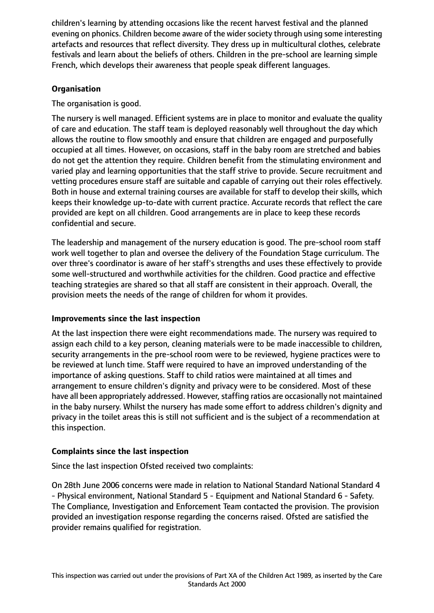children's learning by attending occasions like the recent harvest festival and the planned evening on phonics. Children become aware of the wider society through using some interesting artefacts and resources that reflect diversity. They dress up in multicultural clothes, celebrate festivals and learn about the beliefs of others. Children in the pre-school are learning simple French, which develops their awareness that people speak different languages.

# **Organisation**

The organisation is good.

The nursery is well managed. Efficient systems are in place to monitor and evaluate the quality of care and education. The staff team is deployed reasonably well throughout the day which allows the routine to flow smoothly and ensure that children are engaged and purposefully occupied at all times. However, on occasions, staff in the baby room are stretched and babies do not get the attention they require. Children benefit from the stimulating environment and varied play and learning opportunities that the staff strive to provide. Secure recruitment and vetting procedures ensure staff are suitable and capable of carrying out their roles effectively. Both in house and external training courses are available for staff to develop their skills, which keeps their knowledge up-to-date with current practice. Accurate records that reflect the care provided are kept on all children. Good arrangements are in place to keep these records confidential and secure.

The leadership and management of the nursery education is good. The pre-school room staff work well together to plan and oversee the delivery of the Foundation Stage curriculum. The over three's coordinator is aware of her staff's strengths and uses these effectively to provide some well-structured and worthwhile activities for the children. Good practice and effective teaching strategies are shared so that all staff are consistent in their approach. Overall, the provision meets the needs of the range of children for whom it provides.

# **Improvements since the last inspection**

At the last inspection there were eight recommendations made. The nursery was required to assign each child to a key person, cleaning materials were to be made inaccessible to children, security arrangements in the pre-school room were to be reviewed, hygiene practices were to be reviewed at lunch time. Staff were required to have an improved understanding of the importance of asking questions. Staff to child ratios were maintained at all times and arrangement to ensure children's dignity and privacy were to be considered. Most of these have all been appropriately addressed. However, staffing ratios are occasionally not maintained in the baby nursery. Whilst the nursery has made some effort to address children's dignity and privacy in the toilet areas this is still not sufficient and is the subject of a recommendation at this inspection.

# **Complaints since the last inspection**

Since the last inspection Ofsted received two complaints:

On 28th June 2006 concerns were made in relation to National Standard National Standard 4 - Physical environment, National Standard 5 - Equipment and National Standard 6 - Safety. The Compliance, Investigation and Enforcement Team contacted the provision. The provision provided an investigation response regarding the concerns raised. Ofsted are satisfied the provider remains qualified for registration.